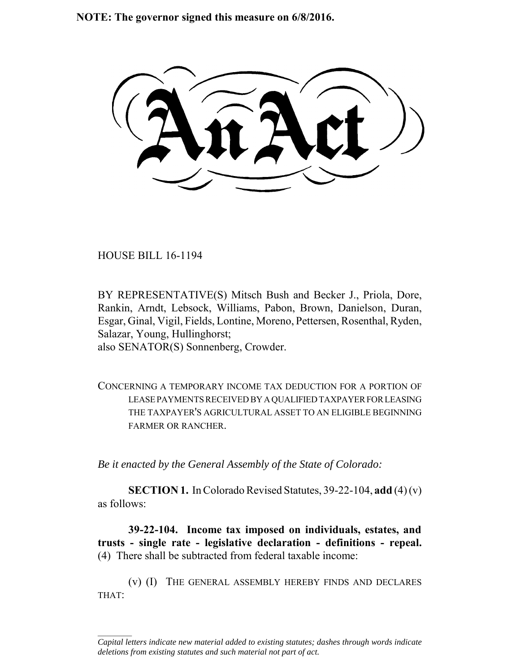**NOTE: The governor signed this measure on 6/8/2016.**

HOUSE BILL 16-1194

 $\frac{1}{2}$ 

BY REPRESENTATIVE(S) Mitsch Bush and Becker J., Priola, Dore, Rankin, Arndt, Lebsock, Williams, Pabon, Brown, Danielson, Duran, Esgar, Ginal, Vigil, Fields, Lontine, Moreno, Pettersen, Rosenthal, Ryden, Salazar, Young, Hullinghorst; also SENATOR(S) Sonnenberg, Crowder.

CONCERNING A TEMPORARY INCOME TAX DEDUCTION FOR A PORTION OF LEASE PAYMENTS RECEIVED BY A QUALIFIED TAXPAYER FOR LEASING THE TAXPAYER'S AGRICULTURAL ASSET TO AN ELIGIBLE BEGINNING FARMER OR RANCHER.

*Be it enacted by the General Assembly of the State of Colorado:*

**SECTION 1.** In Colorado Revised Statutes, 39-22-104, **add** (4) (v) as follows:

**39-22-104. Income tax imposed on individuals, estates, and trusts - single rate - legislative declaration - definitions - repeal.** (4) There shall be subtracted from federal taxable income:

(v) (I) THE GENERAL ASSEMBLY HEREBY FINDS AND DECLARES THAT:

*Capital letters indicate new material added to existing statutes; dashes through words indicate deletions from existing statutes and such material not part of act.*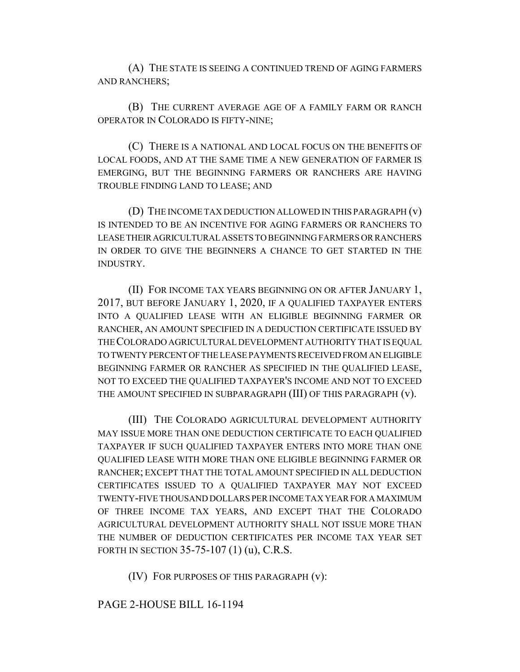(A) THE STATE IS SEEING A CONTINUED TREND OF AGING FARMERS AND RANCHERS;

(B) THE CURRENT AVERAGE AGE OF A FAMILY FARM OR RANCH OPERATOR IN COLORADO IS FIFTY-NINE;

(C) THERE IS A NATIONAL AND LOCAL FOCUS ON THE BENEFITS OF LOCAL FOODS, AND AT THE SAME TIME A NEW GENERATION OF FARMER IS EMERGING, BUT THE BEGINNING FARMERS OR RANCHERS ARE HAVING TROUBLE FINDING LAND TO LEASE; AND

(D) THE INCOME TAX DEDUCTION ALLOWED IN THIS PARAGRAPH (v) IS INTENDED TO BE AN INCENTIVE FOR AGING FARMERS OR RANCHERS TO LEASE THEIR AGRICULTURAL ASSETS TO BEGINNING FARMERS OR RANCHERS IN ORDER TO GIVE THE BEGINNERS A CHANCE TO GET STARTED IN THE INDUSTRY.

(II) FOR INCOME TAX YEARS BEGINNING ON OR AFTER JANUARY 1, 2017, BUT BEFORE JANUARY 1, 2020, IF A QUALIFIED TAXPAYER ENTERS INTO A QUALIFIED LEASE WITH AN ELIGIBLE BEGINNING FARMER OR RANCHER, AN AMOUNT SPECIFIED IN A DEDUCTION CERTIFICATE ISSUED BY THE COLORADO AGRICULTURAL DEVELOPMENT AUTHORITY THAT IS EQUAL TO TWENTY PERCENT OF THE LEASE PAYMENTS RECEIVED FROM AN ELIGIBLE BEGINNING FARMER OR RANCHER AS SPECIFIED IN THE QUALIFIED LEASE, NOT TO EXCEED THE QUALIFIED TAXPAYER'S INCOME AND NOT TO EXCEED THE AMOUNT SPECIFIED IN SUBPARAGRAPH (III) OF THIS PARAGRAPH (v).

(III) THE COLORADO AGRICULTURAL DEVELOPMENT AUTHORITY MAY ISSUE MORE THAN ONE DEDUCTION CERTIFICATE TO EACH QUALIFIED TAXPAYER IF SUCH QUALIFIED TAXPAYER ENTERS INTO MORE THAN ONE QUALIFIED LEASE WITH MORE THAN ONE ELIGIBLE BEGINNING FARMER OR RANCHER; EXCEPT THAT THE TOTAL AMOUNT SPECIFIED IN ALL DEDUCTION CERTIFICATES ISSUED TO A QUALIFIED TAXPAYER MAY NOT EXCEED TWENTY-FIVE THOUSAND DOLLARS PER INCOME TAX YEAR FOR A MAXIMUM OF THREE INCOME TAX YEARS, AND EXCEPT THAT THE COLORADO AGRICULTURAL DEVELOPMENT AUTHORITY SHALL NOT ISSUE MORE THAN THE NUMBER OF DEDUCTION CERTIFICATES PER INCOME TAX YEAR SET FORTH IN SECTION 35-75-107 (1) (u), C.R.S.

(IV) FOR PURPOSES OF THIS PARAGRAPH (v):

## PAGE 2-HOUSE BILL 16-1194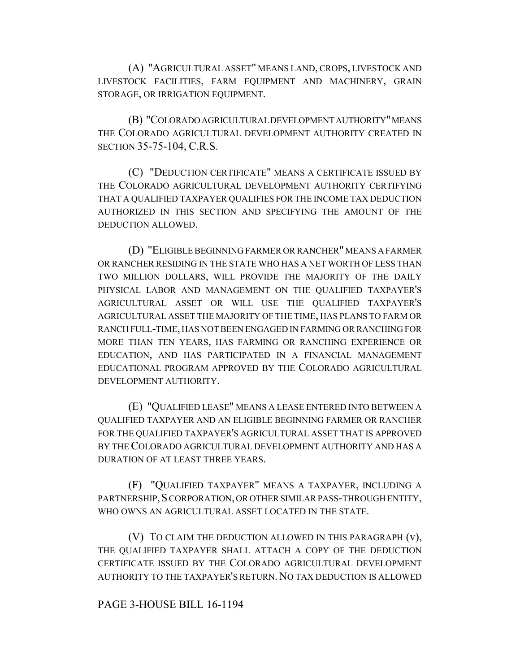(A) "AGRICULTURAL ASSET" MEANS LAND, CROPS, LIVESTOCK AND LIVESTOCK FACILITIES, FARM EQUIPMENT AND MACHINERY, GRAIN STORAGE, OR IRRIGATION EQUIPMENT.

(B) "COLORADO AGRICULTURAL DEVELOPMENT AUTHORITY" MEANS THE COLORADO AGRICULTURAL DEVELOPMENT AUTHORITY CREATED IN SECTION 35-75-104, C.R.S.

(C) "DEDUCTION CERTIFICATE" MEANS A CERTIFICATE ISSUED BY THE COLORADO AGRICULTURAL DEVELOPMENT AUTHORITY CERTIFYING THAT A QUALIFIED TAXPAYER QUALIFIES FOR THE INCOME TAX DEDUCTION AUTHORIZED IN THIS SECTION AND SPECIFYING THE AMOUNT OF THE DEDUCTION ALLOWED.

(D) "ELIGIBLE BEGINNING FARMER OR RANCHER" MEANS A FARMER OR RANCHER RESIDING IN THE STATE WHO HAS A NET WORTH OF LESS THAN TWO MILLION DOLLARS, WILL PROVIDE THE MAJORITY OF THE DAILY PHYSICAL LABOR AND MANAGEMENT ON THE QUALIFIED TAXPAYER'S AGRICULTURAL ASSET OR WILL USE THE QUALIFIED TAXPAYER'S AGRICULTURAL ASSET THE MAJORITY OF THE TIME, HAS PLANS TO FARM OR RANCH FULL-TIME, HAS NOT BEEN ENGAGED IN FARMING OR RANCHING FOR MORE THAN TEN YEARS, HAS FARMING OR RANCHING EXPERIENCE OR EDUCATION, AND HAS PARTICIPATED IN A FINANCIAL MANAGEMENT EDUCATIONAL PROGRAM APPROVED BY THE COLORADO AGRICULTURAL DEVELOPMENT AUTHORITY.

(E) "QUALIFIED LEASE" MEANS A LEASE ENTERED INTO BETWEEN A QUALIFIED TAXPAYER AND AN ELIGIBLE BEGINNING FARMER OR RANCHER FOR THE QUALIFIED TAXPAYER'S AGRICULTURAL ASSET THAT IS APPROVED BY THE COLORADO AGRICULTURAL DEVELOPMENT AUTHORITY AND HAS A DURATION OF AT LEAST THREE YEARS.

(F) "QUALIFIED TAXPAYER" MEANS A TAXPAYER, INCLUDING A PARTNERSHIP, SCORPORATION, OR OTHER SIMILAR PASS-THROUGH ENTITY, WHO OWNS AN AGRICULTURAL ASSET LOCATED IN THE STATE.

(V) TO CLAIM THE DEDUCTION ALLOWED IN THIS PARAGRAPH (v), THE QUALIFIED TAXPAYER SHALL ATTACH A COPY OF THE DEDUCTION CERTIFICATE ISSUED BY THE COLORADO AGRICULTURAL DEVELOPMENT AUTHORITY TO THE TAXPAYER'S RETURN. NO TAX DEDUCTION IS ALLOWED

## PAGE 3-HOUSE BILL 16-1194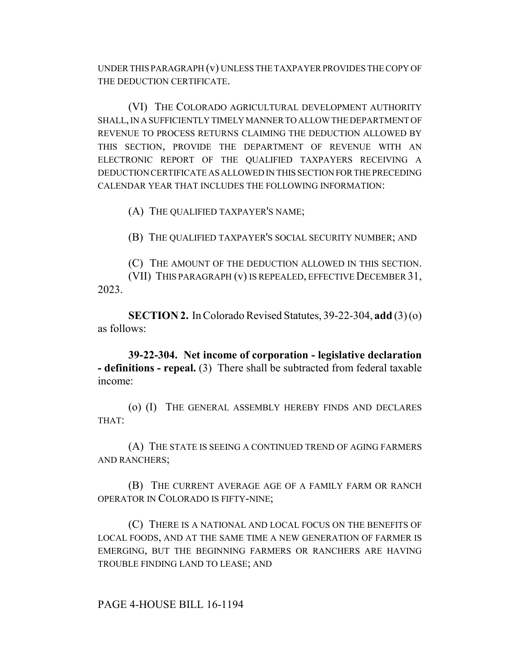UNDER THIS PARAGRAPH (v) UNLESS THE TAXPAYER PROVIDES THE COPY OF THE DEDUCTION CERTIFICATE.

(VI) THE COLORADO AGRICULTURAL DEVELOPMENT AUTHORITY SHALL, IN A SUFFICIENTLY TIMELY MANNER TO ALLOW THE DEPARTMENT OF REVENUE TO PROCESS RETURNS CLAIMING THE DEDUCTION ALLOWED BY THIS SECTION, PROVIDE THE DEPARTMENT OF REVENUE WITH AN ELECTRONIC REPORT OF THE QUALIFIED TAXPAYERS RECEIVING A DEDUCTION CERTIFICATE AS ALLOWED IN THIS SECTION FOR THE PRECEDING CALENDAR YEAR THAT INCLUDES THE FOLLOWING INFORMATION:

(A) THE QUALIFIED TAXPAYER'S NAME;

(B) THE QUALIFIED TAXPAYER'S SOCIAL SECURITY NUMBER; AND

(C) THE AMOUNT OF THE DEDUCTION ALLOWED IN THIS SECTION. (VII) THIS PARAGRAPH (v) IS REPEALED, EFFECTIVE DECEMBER 31, 2023.

**SECTION 2.** In Colorado Revised Statutes, 39-22-304, **add** (3) (o) as follows:

**39-22-304. Net income of corporation - legislative declaration - definitions - repeal.** (3) There shall be subtracted from federal taxable income:

(o) (I) THE GENERAL ASSEMBLY HEREBY FINDS AND DECLARES THAT:

(A) THE STATE IS SEEING A CONTINUED TREND OF AGING FARMERS AND RANCHERS;

(B) THE CURRENT AVERAGE AGE OF A FAMILY FARM OR RANCH OPERATOR IN COLORADO IS FIFTY-NINE;

(C) THERE IS A NATIONAL AND LOCAL FOCUS ON THE BENEFITS OF LOCAL FOODS, AND AT THE SAME TIME A NEW GENERATION OF FARMER IS EMERGING, BUT THE BEGINNING FARMERS OR RANCHERS ARE HAVING TROUBLE FINDING LAND TO LEASE; AND

PAGE 4-HOUSE BILL 16-1194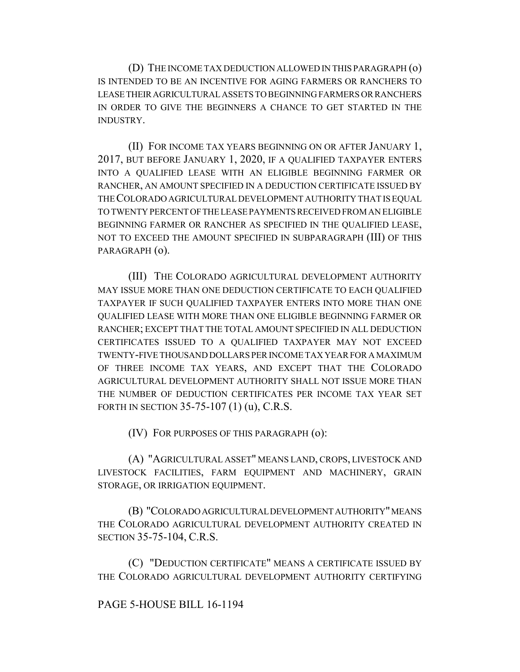(D) THE INCOME TAX DEDUCTION ALLOWED IN THIS PARAGRAPH (o) IS INTENDED TO BE AN INCENTIVE FOR AGING FARMERS OR RANCHERS TO LEASE THEIR AGRICULTURAL ASSETS TO BEGINNING FARMERS OR RANCHERS IN ORDER TO GIVE THE BEGINNERS A CHANCE TO GET STARTED IN THE INDUSTRY.

(II) FOR INCOME TAX YEARS BEGINNING ON OR AFTER JANUARY 1, 2017, BUT BEFORE JANUARY 1, 2020, IF A QUALIFIED TAXPAYER ENTERS INTO A QUALIFIED LEASE WITH AN ELIGIBLE BEGINNING FARMER OR RANCHER, AN AMOUNT SPECIFIED IN A DEDUCTION CERTIFICATE ISSUED BY THE COLORADO AGRICULTURAL DEVELOPMENT AUTHORITY THAT IS EQUAL TO TWENTY PERCENT OF THE LEASE PAYMENTS RECEIVED FROM AN ELIGIBLE BEGINNING FARMER OR RANCHER AS SPECIFIED IN THE QUALIFIED LEASE, NOT TO EXCEED THE AMOUNT SPECIFIED IN SUBPARAGRAPH (III) OF THIS PARAGRAPH (o).

(III) THE COLORADO AGRICULTURAL DEVELOPMENT AUTHORITY MAY ISSUE MORE THAN ONE DEDUCTION CERTIFICATE TO EACH QUALIFIED TAXPAYER IF SUCH QUALIFIED TAXPAYER ENTERS INTO MORE THAN ONE QUALIFIED LEASE WITH MORE THAN ONE ELIGIBLE BEGINNING FARMER OR RANCHER; EXCEPT THAT THE TOTAL AMOUNT SPECIFIED IN ALL DEDUCTION CERTIFICATES ISSUED TO A QUALIFIED TAXPAYER MAY NOT EXCEED TWENTY-FIVE THOUSAND DOLLARS PER INCOME TAX YEAR FOR A MAXIMUM OF THREE INCOME TAX YEARS, AND EXCEPT THAT THE COLORADO AGRICULTURAL DEVELOPMENT AUTHORITY SHALL NOT ISSUE MORE THAN THE NUMBER OF DEDUCTION CERTIFICATES PER INCOME TAX YEAR SET FORTH IN SECTION 35-75-107 (1) (u), C.R.S.

(IV) FOR PURPOSES OF THIS PARAGRAPH (o):

(A) "AGRICULTURAL ASSET" MEANS LAND, CROPS, LIVESTOCK AND LIVESTOCK FACILITIES, FARM EQUIPMENT AND MACHINERY, GRAIN STORAGE, OR IRRIGATION EQUIPMENT.

(B) "COLORADO AGRICULTURAL DEVELOPMENT AUTHORITY" MEANS THE COLORADO AGRICULTURAL DEVELOPMENT AUTHORITY CREATED IN SECTION 35-75-104, C.R.S.

(C) "DEDUCTION CERTIFICATE" MEANS A CERTIFICATE ISSUED BY THE COLORADO AGRICULTURAL DEVELOPMENT AUTHORITY CERTIFYING

## PAGE 5-HOUSE BILL 16-1194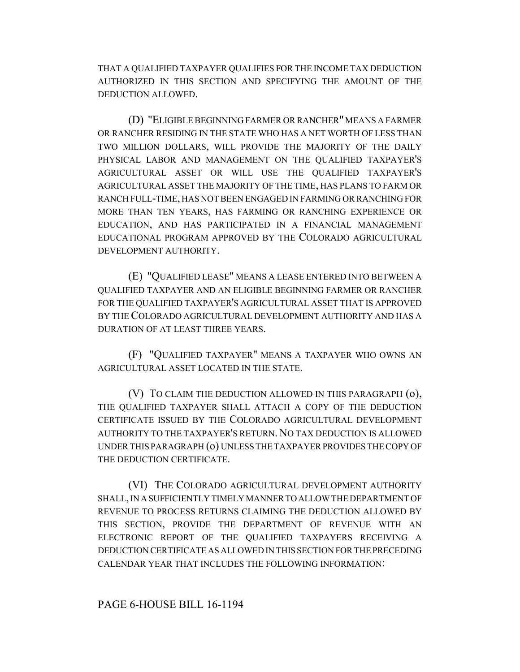THAT A QUALIFIED TAXPAYER QUALIFIES FOR THE INCOME TAX DEDUCTION AUTHORIZED IN THIS SECTION AND SPECIFYING THE AMOUNT OF THE DEDUCTION ALLOWED.

(D) "ELIGIBLE BEGINNING FARMER OR RANCHER" MEANS A FARMER OR RANCHER RESIDING IN THE STATE WHO HAS A NET WORTH OF LESS THAN TWO MILLION DOLLARS, WILL PROVIDE THE MAJORITY OF THE DAILY PHYSICAL LABOR AND MANAGEMENT ON THE QUALIFIED TAXPAYER'S AGRICULTURAL ASSET OR WILL USE THE QUALIFIED TAXPAYER'S AGRICULTURAL ASSET THE MAJORITY OF THE TIME, HAS PLANS TO FARM OR RANCH FULL-TIME, HAS NOT BEEN ENGAGED IN FARMING OR RANCHING FOR MORE THAN TEN YEARS, HAS FARMING OR RANCHING EXPERIENCE OR EDUCATION, AND HAS PARTICIPATED IN A FINANCIAL MANAGEMENT EDUCATIONAL PROGRAM APPROVED BY THE COLORADO AGRICULTURAL DEVELOPMENT AUTHORITY.

(E) "QUALIFIED LEASE" MEANS A LEASE ENTERED INTO BETWEEN A QUALIFIED TAXPAYER AND AN ELIGIBLE BEGINNING FARMER OR RANCHER FOR THE QUALIFIED TAXPAYER'S AGRICULTURAL ASSET THAT IS APPROVED BY THE COLORADO AGRICULTURAL DEVELOPMENT AUTHORITY AND HAS A DURATION OF AT LEAST THREE YEARS.

(F) "QUALIFIED TAXPAYER" MEANS A TAXPAYER WHO OWNS AN AGRICULTURAL ASSET LOCATED IN THE STATE.

(V) TO CLAIM THE DEDUCTION ALLOWED IN THIS PARAGRAPH (o), THE QUALIFIED TAXPAYER SHALL ATTACH A COPY OF THE DEDUCTION CERTIFICATE ISSUED BY THE COLORADO AGRICULTURAL DEVELOPMENT AUTHORITY TO THE TAXPAYER'S RETURN. NO TAX DEDUCTION IS ALLOWED UNDER THIS PARAGRAPH (o) UNLESS THE TAXPAYER PROVIDES THE COPY OF THE DEDUCTION CERTIFICATE.

(VI) THE COLORADO AGRICULTURAL DEVELOPMENT AUTHORITY SHALL, IN A SUFFICIENTLY TIMELY MANNER TO ALLOW THE DEPARTMENT OF REVENUE TO PROCESS RETURNS CLAIMING THE DEDUCTION ALLOWED BY THIS SECTION, PROVIDE THE DEPARTMENT OF REVENUE WITH AN ELECTRONIC REPORT OF THE QUALIFIED TAXPAYERS RECEIVING A DEDUCTION CERTIFICATE AS ALLOWED IN THIS SECTION FOR THE PRECEDING CALENDAR YEAR THAT INCLUDES THE FOLLOWING INFORMATION: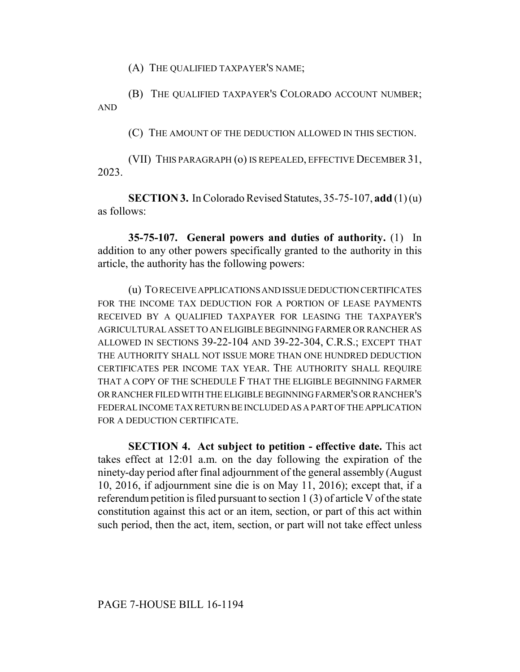(A) THE QUALIFIED TAXPAYER'S NAME;

(B) THE QUALIFIED TAXPAYER'S COLORADO ACCOUNT NUMBER; AND

(C) THE AMOUNT OF THE DEDUCTION ALLOWED IN THIS SECTION.

(VII) THIS PARAGRAPH (o) IS REPEALED, EFFECTIVE DECEMBER 31, 2023.

**SECTION 3.** In Colorado Revised Statutes, 35-75-107, **add** (1) (u) as follows:

**35-75-107. General powers and duties of authority.** (1) In addition to any other powers specifically granted to the authority in this article, the authority has the following powers:

(u) TO RECEIVE APPLICATIONS AND ISSUE DEDUCTION CERTIFICATES FOR THE INCOME TAX DEDUCTION FOR A PORTION OF LEASE PAYMENTS RECEIVED BY A QUALIFIED TAXPAYER FOR LEASING THE TAXPAYER'S AGRICULTURAL ASSET TO AN ELIGIBLE BEGINNING FARMER OR RANCHER AS ALLOWED IN SECTIONS 39-22-104 AND 39-22-304, C.R.S.; EXCEPT THAT THE AUTHORITY SHALL NOT ISSUE MORE THAN ONE HUNDRED DEDUCTION CERTIFICATES PER INCOME TAX YEAR. THE AUTHORITY SHALL REQUIRE THAT A COPY OF THE SCHEDULE F THAT THE ELIGIBLE BEGINNING FARMER OR RANCHER FILED WITH THE ELIGIBLE BEGINNING FARMER'S OR RANCHER'S FEDERAL INCOME TAX RETURN BE INCLUDED AS A PART OF THE APPLICATION FOR A DEDUCTION CERTIFICATE.

**SECTION 4. Act subject to petition - effective date.** This act takes effect at 12:01 a.m. on the day following the expiration of the ninety-day period after final adjournment of the general assembly (August 10, 2016, if adjournment sine die is on May 11, 2016); except that, if a referendum petition is filed pursuant to section 1 (3) of article V of the state constitution against this act or an item, section, or part of this act within such period, then the act, item, section, or part will not take effect unless